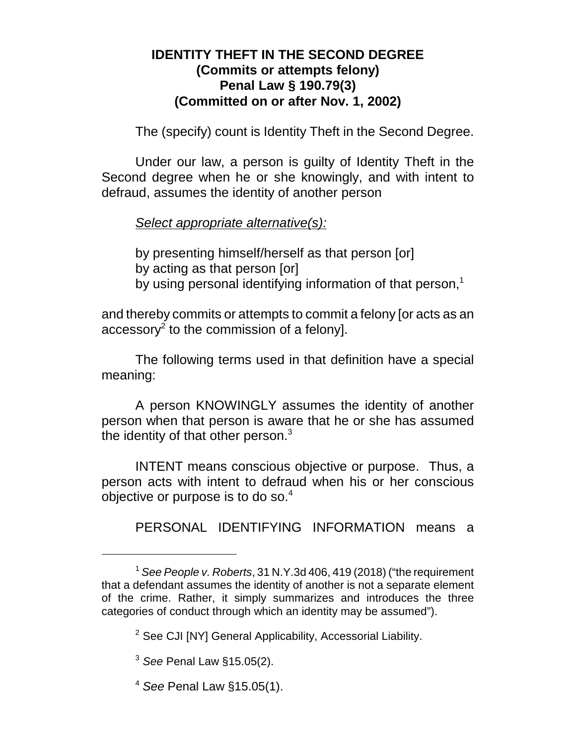## **IDENTITY THEFT IN THE SECOND DEGREE (Commits or attempts felony) Penal Law § 190.79(3) (Committed on or after Nov. 1, 2002)**

The (specify) count is Identity Theft in the Second Degree.

Under our law, a person is guilty of Identity Theft in the Second degree when he or she knowingly, and with intent to defraud, assumes the identity of another person

*Select appropriate alternative(s):*

by presenting himself/herself as that person [or] by acting as that person [or] by using personal identifying information of that person,<sup>1</sup>

and thereby commits or attempts to commit a felony [or acts as an accessory<sup>2</sup> to the commission of a felony].

The following terms used in that definition have a special meaning:

A person KNOWINGLY assumes the identity of another person when that person is aware that he or she has assumed the identity of that other person. $3$ 

INTENT means conscious objective or purpose. Thus, a person acts with intent to defraud when his or her conscious objective or purpose is to do so.<sup>4</sup>

PERSONAL IDENTIFYING INFORMATION means a

<sup>1</sup>  *See People v. Roberts*, 31 N.Y.3d 406, 419 (2018) ("the requirement that a defendant assumes the identity of another is not a separate element of the crime. Rather, it simply summarizes and introduces the three categories of conduct through which an identity may be assumed").

<sup>&</sup>lt;sup>2</sup> See CJI [NY] General Applicability, Accessorial Liability.

<sup>3</sup> *See* Penal Law §15.05(2).

<sup>4</sup> *See* Penal Law §15.05(1).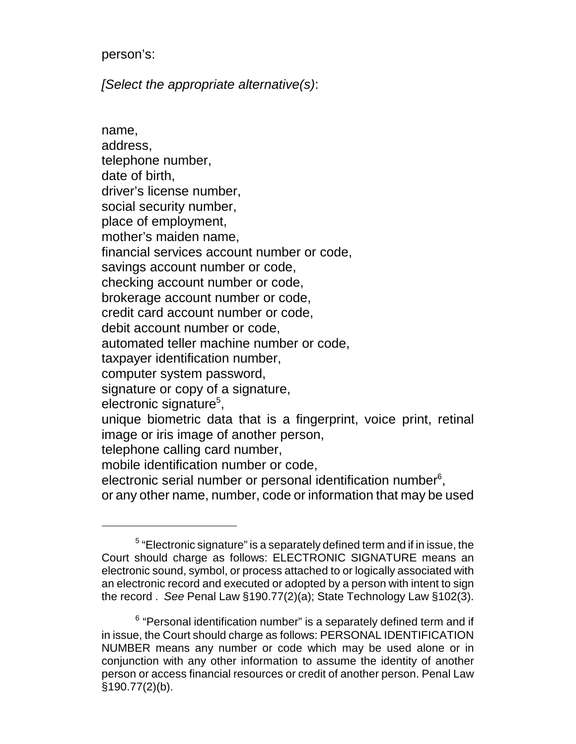person's:

*[Select the appropriate alternative(s)*:

name, address, telephone number, date of birth, driver's license number, social security number, place of employment, mother's maiden name, financial services account number or code, savings account number or code, checking account number or code, brokerage account number or code, credit card account number or code, debit account number or code, automated teller machine number or code, taxpayer identification number, computer system password, signature or copy of a signature, electronic signature<sup>5</sup>, unique biometric data that is a fingerprint, voice print, retinal image or iris image of another person, telephone calling card number, mobile identification number or code, electronic serial number or personal identification number $6$ , or any other name, number, code or information that may be used

 $5$  "Electronic signature" is a separately defined term and if in issue, the Court should charge as follows: ELECTRONIC SIGNATURE means an electronic sound, symbol, or process attached to or logically associated with an electronic record and executed or adopted by a person with intent to sign the record . *See* Penal Law §190.77(2)(a); State Technology Law §102(3).

 $6$  "Personal identification number" is a separately defined term and if in issue, the Court should charge as follows: PERSONAL IDENTIFICATION NUMBER means any number or code which may be used alone or in conjunction with any other information to assume the identity of another person or access financial resources or credit of another person. Penal Law §190.77(2)(b).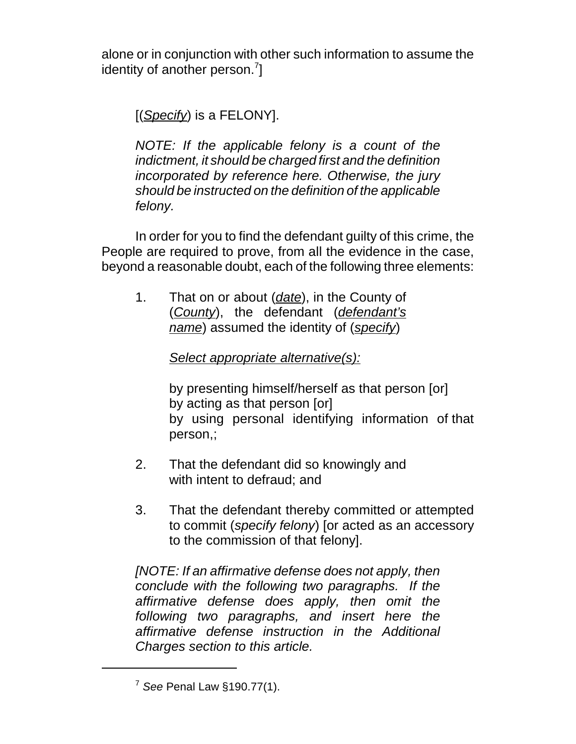alone or in conjunction with other such information to assume the identity of another person. $7$ ]

[(*Specify*) is a FELONY].

*NOTE: If the applicable felony is a count of the indictment, it should be charged first and the definition incorporated by reference here. Otherwise, the jury should be instructed on the definition of the applicable felony.*

In order for you to find the defendant guilty of this crime, the People are required to prove, from all the evidence in the case, beyond a reasonable doubt, each of the following three elements:

1. That on or about (*date*), in the County of (*County*), the defendant (*defendant's name*) assumed the identity of (*specify*)

*Select appropriate alternative(s):*

by presenting himself/herself as that person [or] by acting as that person [or] by using personal identifying information of that person,;

- 2. That the defendant did so knowingly and with intent to defraud; and
- 3. That the defendant thereby committed or attempted to commit (*specify felony*) [or acted as an accessory to the commission of that felony].

*[NOTE: If an affirmative defense does not apply, then conclude with the following two paragraphs. If the affirmative defense does apply, then omit the following two paragraphs, and insert here the affirmative defense instruction in the Additional Charges section to this article.*

<sup>7</sup> *See* Penal Law §190.77(1).